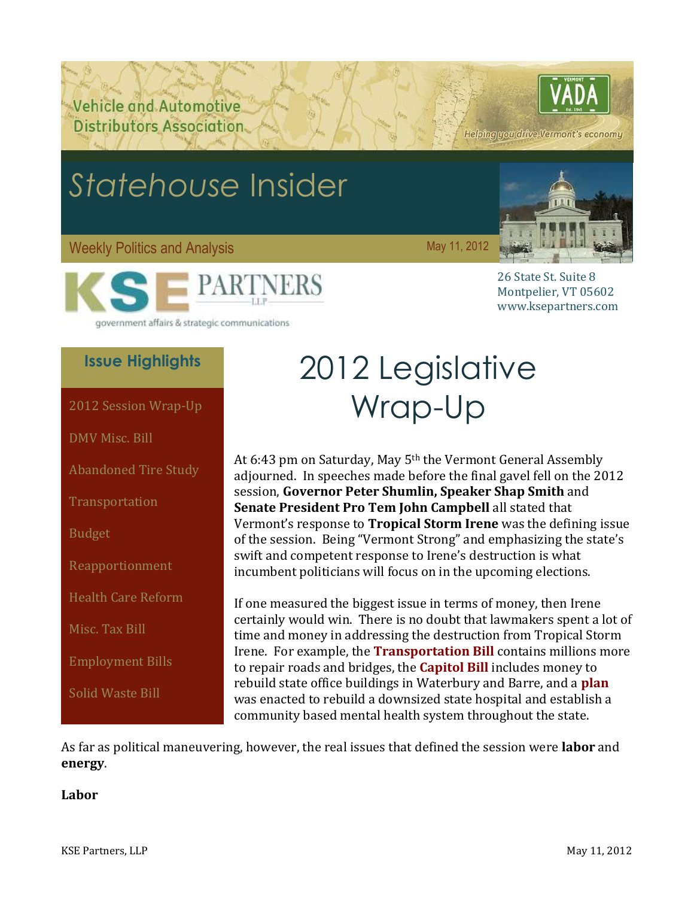Vehicle and Automotive **Distributors Association** 

## Helping you drive Vermont's economy

# <span id="page-0-1"></span>*Statehouse* Insider

#### Weekly Politics and Analysis May 11, 2012



26 State St. Suite 8 Montpelier, VT 05602 www.ksepartners.com

government affairs & strategic communications

## **Issue Highlights**

[DMV Misc. Bill](#page-2-0)

[Abandoned Tire Study](#page-3-0)

**[Transportation](#page-3-1)** 

[Budget](#page-4-0)

[Reapportionment](#page-5-0)

[Health Care Reform](#page-5-1)

[Misc. Tax Bill](#page-7-0)

[Employment Bills](#page-8-0)

[Solid Waste Bill](#page-9-0)

# 2012 Legislative [2012 Session Wrap-Up](#page-0-0) Wrap-Up

<span id="page-0-0"></span>At 6:43 pm on Saturday, May 5th the Vermont General Assembly adjourned. In speeches made before the final gavel fell on the 2012 session, **Governor Peter Shumlin, Speaker Shap Smith** and **Senate President Pro Tem John Campbell** all stated that Vermont's response to **Tropical Storm Irene** was the defining issue of the session. Being "Vermont Strong" and emphasizing the state's swift and competent response to Irene's destruction is what incumbent politicians will focus on in the upcoming elections.

If one measured the biggest issue in terms of money, then Irene certainly would win. There is no doubt that lawmakers spent a lot of time and money in addressing the destruction from Tropical Storm Irene. For example, the **[Transportation Bill](http://www.leg.state.vt.us/docs/2012/bills/Passed/H-770.pdf)** contains millions more to repair roads and bridges, the **[Capitol Bill](http://www.leg.state.vt.us/docs/2012/bills/Passed/H-785.pdf)** includes money to rebuild state office buildings in Waterbury and Barre, and a **[plan](http://www.leg.state.vt.us/docs/2012/Acts/ACT079.pdf)** was enacted to rebuild a downsized state hospital and establish a community based mental health system throughout the state.

As far as political maneuvering, however, the real issues that defined the session were **labor** and **energy**.

#### **Labor**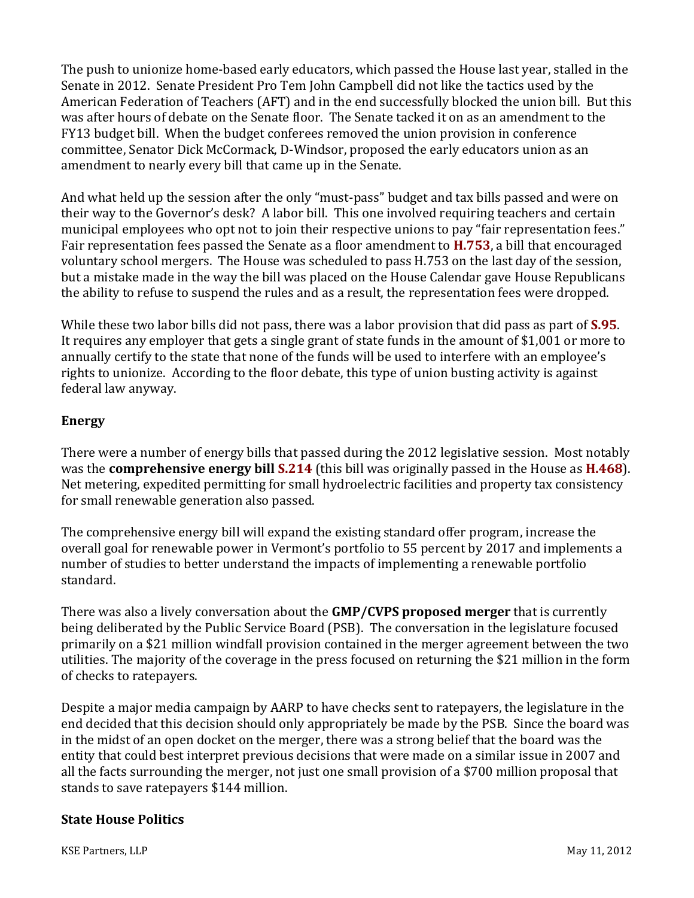The push to unionize home-based early educators, which passed the House last year, stalled in the Senate in 2012. Senate President Pro Tem John Campbell did not like the tactics used by the American Federation of Teachers (AFT) and in the end successfully blocked the union bill. But this was after hours of debate on the Senate floor. The Senate tacked it on as an amendment to the FY13 budget bill. When the budget conferees removed the union provision in conference committee, Senator Dick McCormack, D-Windsor, proposed the early educators union as an amendment to nearly every bill that came up in the Senate.

And what held up the session after the only "must-pass" budget and tax bills passed and were on their way to the Governor's desk? A labor bill. This one involved requiring teachers and certain municipal employees who opt not to join their respective unions to pay "fair representation fees." Fair representation fees passed the Senate as a floor amendment to **[H.753](http://www.leg.state.vt.us/docs/2012/bills/Senate/H-753.pdf)**, a bill that encouraged voluntary school mergers. The House was scheduled to pass H.753 on the last day of the session, but a mistake made in the way the bill was placed on the House Calendar gave House Republicans the ability to refuse to suspend the rules and as a result, the representation fees were dropped.

While these two labor bills did not pass, there was a labor provision that did pass as part of **[S.95](http://www.leg.state.vt.us/docs/2012/bills/House/S-095.pdf)**. It requires any employer that gets a single grant of state funds in the amount of \$1,001 or more to annually certify to the state that none of the funds will be used to interfere with an employee's rights to unionize. According to the floor debate, this type of union busting activity is against federal law anyway.

#### **Energy**

There were a number of energy bills that passed during the 2012 legislative session. Most notably was the **comprehensive energy bill [S.214](http://www.leg.state.vt.us/docs/2012/bills/Passed/S-214.pdf)** (this bill was originally passed in the House as **[H.468](http://www.leg.state.vt.us/docs/2012/bills/House/H-468.pdf)**). Net metering, expedited permitting for small hydroelectric facilities and property tax consistency for small renewable generation also passed.

The comprehensive energy bill will expand the existing standard offer program, increase the overall goal for renewable power in Vermont's portfolio to 55 percent by 2017 and implements a number of studies to better understand the impacts of implementing a renewable portfolio standard.

There was also a lively conversation about the **GMP/CVPS proposed merger** that is currently being deliberated by the Public Service Board (PSB). The conversation in the legislature focused primarily on a \$21 million windfall provision contained in the merger agreement between the two utilities. The majority of the coverage in the press focused on returning the \$21 million in the form of checks to ratepayers.

Despite a major media campaign by AARP to have checks sent to ratepayers, the legislature in the end decided that this decision should only appropriately be made by the PSB. Since the board was in the midst of an open docket on the merger, there was a strong belief that the board was the entity that could best interpret previous decisions that were made on a similar issue in 2007 and all the facts surrounding the merger, not just one small provision of a \$700 million proposal that stands to save ratepayers \$144 million.

#### **State House Politics**

KSE Partners, LLP May 11, 2012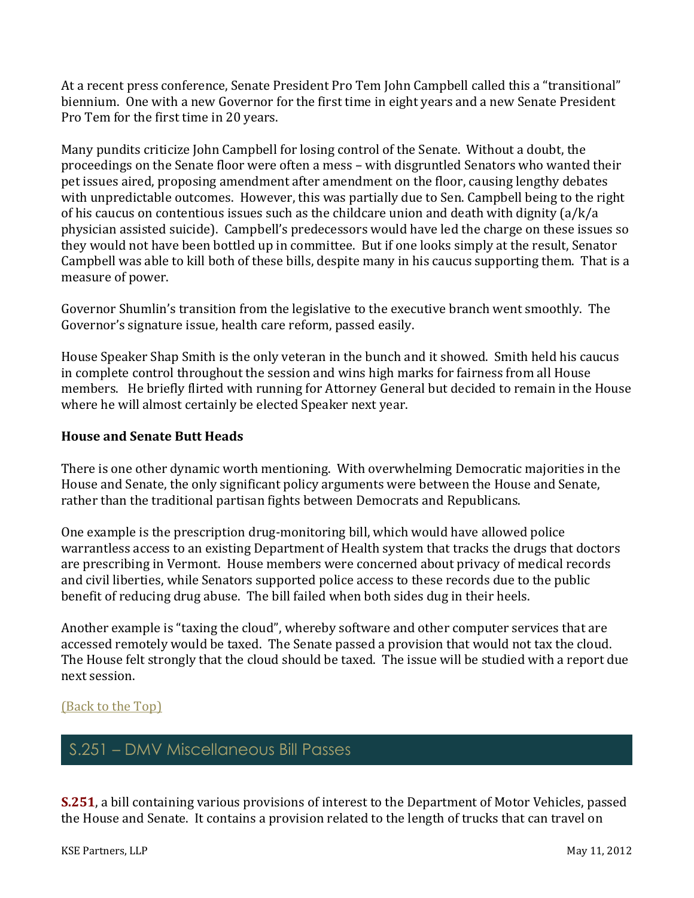At a recent press conference, Senate President Pro Tem John Campbell called this a "transitional" biennium. One with a new Governor for the first time in eight years and a new Senate President Pro Tem for the first time in 20 years.

Many pundits criticize John Campbell for losing control of the Senate. Without a doubt, the proceedings on the Senate floor were often a mess – with disgruntled Senators who wanted their pet issues aired, proposing amendment after amendment on the floor, causing lengthy debates with unpredictable outcomes. However, this was partially due to Sen. Campbell being to the right of his caucus on contentious issues such as the childcare union and death with dignity (a/k/a physician assisted suicide). Campbell's predecessors would have led the charge on these issues so they would not have been bottled up in committee. But if one looks simply at the result, Senator Campbell was able to kill both of these bills, despite many in his caucus supporting them. That is a measure of power.

Governor Shumlin's transition from the legislative to the executive branch went smoothly. The Governor's signature issue, health care reform, passed easily.

House Speaker Shap Smith is the only veteran in the bunch and it showed. Smith held his caucus in complete control throughout the session and wins high marks for fairness from all House members. He briefly flirted with running for Attorney General but decided to remain in the House where he will almost certainly be elected Speaker next year.

#### **House and Senate Butt Heads**

There is one other dynamic worth mentioning. With overwhelming Democratic majorities in the House and Senate, the only significant policy arguments were between the House and Senate, rather than the traditional partisan fights between Democrats and Republicans.

One example is the prescription drug-monitoring bill, which would have allowed police warrantless access to an existing Department of Health system that tracks the drugs that doctors are prescribing in Vermont. House members were concerned about privacy of medical records and civil liberties, while Senators supported police access to these records due to the public benefit of reducing drug abuse. The bill failed when both sides dug in their heels.

Another example is "taxing the cloud", whereby software and other computer services that are accessed remotely would be taxed. The Senate passed a provision that would not tax the cloud. The House felt strongly that the cloud should be taxed. The issue will be studied with a report due next session.

#### [\(Back to the Top\)](#page-0-1)

# S.251 – DMV Miscellaneous Bill Passes

<span id="page-2-0"></span>**[S.251](http://www.leg.state.vt.us/docs/2012/bills/Passed/S-251.pdf)**, a bill containing various provisions of interest to the Department of Motor Vehicles, passed the House and Senate. It contains a provision related to the length of trucks that can travel on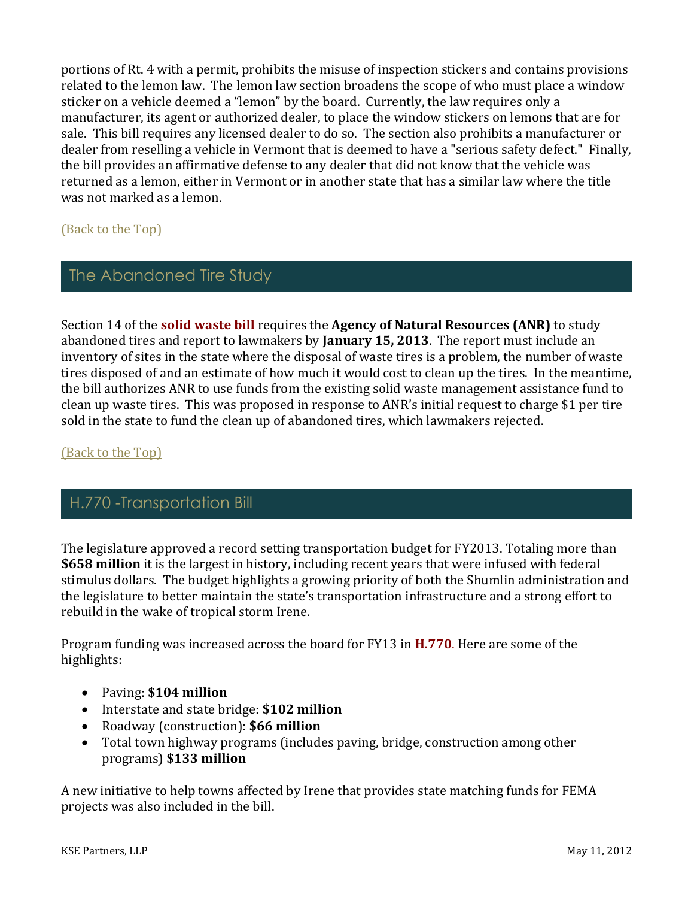portions of Rt. 4 with a permit, prohibits the misuse of inspection stickers and contains provisions related to the lemon law. The lemon law section broadens the scope of who must place a window sticker on a vehicle deemed a "lemon" by the board. Currently, the law requires only a manufacturer, its agent or authorized dealer, to place the window stickers on lemons that are for sale. This bill requires any licensed dealer to do so. The section also prohibits a manufacturer or dealer from reselling a vehicle in Vermont that is deemed to have a "serious safety defect." Finally, the bill provides an affirmative defense to any dealer that did not know that the vehicle was returned as a lemon, either in Vermont or in another state that has a similar law where the title was not marked as a lemon.

[\(Back to the Top\)](#page-0-1)

## The Abandoned Tire Study

<span id="page-3-0"></span>Section 14 of the **[solid waste bill](http://www.leg.state.vt.us/docs/2012/bills/Passed/H-485.pdf)** requires the **Agency of Natural Resources (ANR)** to study abandoned tires and report to lawmakers by **January 15, 2013**. The report must include an inventory of sites in the state where the disposal of waste tires is a problem, the number of waste tires disposed of and an estimate of how much it would cost to clean up the tires. In the meantime, the bill authorizes ANR to use funds from the existing solid waste management assistance fund to clean up waste tires. This was proposed in response to ANR's initial request to charge \$1 per tire sold in the state to fund the clean up of abandoned tires, which lawmakers rejected.

#### [\(Back to the Top\)](#page-0-1)

## H.770 -Transportation Bill

<span id="page-3-1"></span>The legislature approved a record setting transportation budget for FY2013. Totaling more than **\$658 million** it is the largest in history, including recent years that were infused with federal stimulus dollars. The budget highlights a growing priority of both the Shumlin administration and the legislature to better maintain the state's transportation infrastructure and a strong effort to rebuild in the wake of tropical storm Irene.

Program funding was increased across the board for FY13 in **[H.770](http://www.leg.state.vt.us/docs/2012/bills/Passed/H-770.pdf)**. Here are some of the highlights:

- Paving: **\$104 million**
- Interstate and state bridge: **\$102 million**
- Roadway (construction): **\$66 million**
- Total town highway programs (includes paving, bridge, construction among other programs) **\$133 million**

A new initiative to help towns affected by Irene that provides state matching funds for FEMA projects was also included in the bill.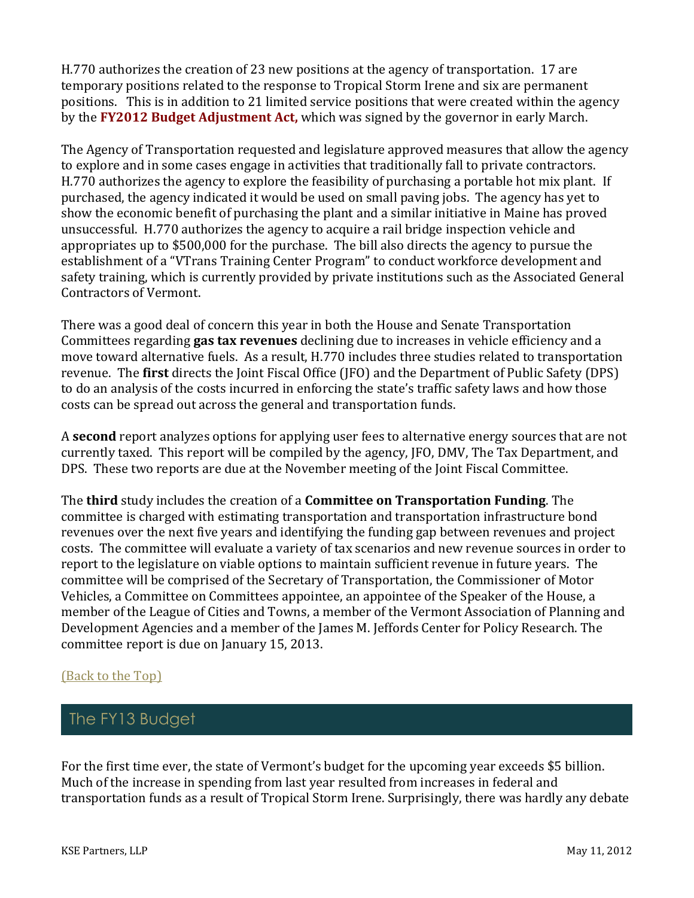H.770 authorizes the creation of 23 new positions at the agency of transportation. 17 are temporary positions related to the response to Tropical Storm Irene and six are permanent positions. This is in addition to 21 limited service positions that were created within the agency by the **FY2012 [Budget Adjustment Act,](http://www.leg.state.vt.us/docs/2012/Acts/ACT075.pdf)** which was signed by the governor in early March.

The Agency of Transportation requested and legislature approved measures that allow the agency to explore and in some cases engage in activities that traditionally fall to private contractors. H.770 authorizes the agency to explore the feasibility of purchasing a portable hot mix plant. If purchased, the agency indicated it would be used on small paving jobs. The agency has yet to show the economic benefit of purchasing the plant and a similar initiative in Maine has proved unsuccessful. H.770 authorizes the agency to acquire a rail bridge inspection vehicle and appropriates up to \$500,000 for the purchase. The bill also directs the agency to pursue the establishment of a "VTrans Training Center Program" to conduct workforce development and safety training, which is currently provided by private institutions such as the Associated General Contractors of Vermont.

There was a good deal of concern this year in both the House and Senate Transportation Committees regarding **gas tax revenues** declining due to increases in vehicle efficiency and a move toward alternative fuels. As a result, H.770 includes three studies related to transportation revenue. The **first** directs the Joint Fiscal Office (JFO) and the Department of Public Safety (DPS) to do an analysis of the costs incurred in enforcing the state's traffic safety laws and how those costs can be spread out across the general and transportation funds.

A **second** report analyzes options for applying user fees to alternative energy sources that are not currently taxed. This report will be compiled by the agency, JFO, DMV, The Tax Department, and DPS. These two reports are due at the November meeting of the Joint Fiscal Committee.

The **third** study includes the creation of a **Committee on Transportation Funding**. The committee is charged with estimating transportation and transportation infrastructure bond revenues over the next five years and identifying the funding gap between revenues and project costs. The committee will evaluate a variety of tax scenarios and new revenue sources in order to report to the legislature on viable options to maintain sufficient revenue in future years. The committee will be comprised of the Secretary of Transportation, the Commissioner of Motor Vehicles, a Committee on Committees appointee, an appointee of the Speaker of the House, a member of the League of Cities and Towns, a member of the Vermont Association of Planning and Development Agencies and a member of the James M. Jeffords Center for Policy Research. The committee report is due on January 15, 2013.

#### [\(Back to the Top\)](#page-0-1)

## The FY13 Budget

<span id="page-4-0"></span>For the first time ever, the state of Vermont's budget for the upcoming year exceeds \$5 billion. Much of the increase in spending from last year resulted from increases in federal and transportation funds as a result of Tropical Storm Irene. Surprisingly, there was hardly any debate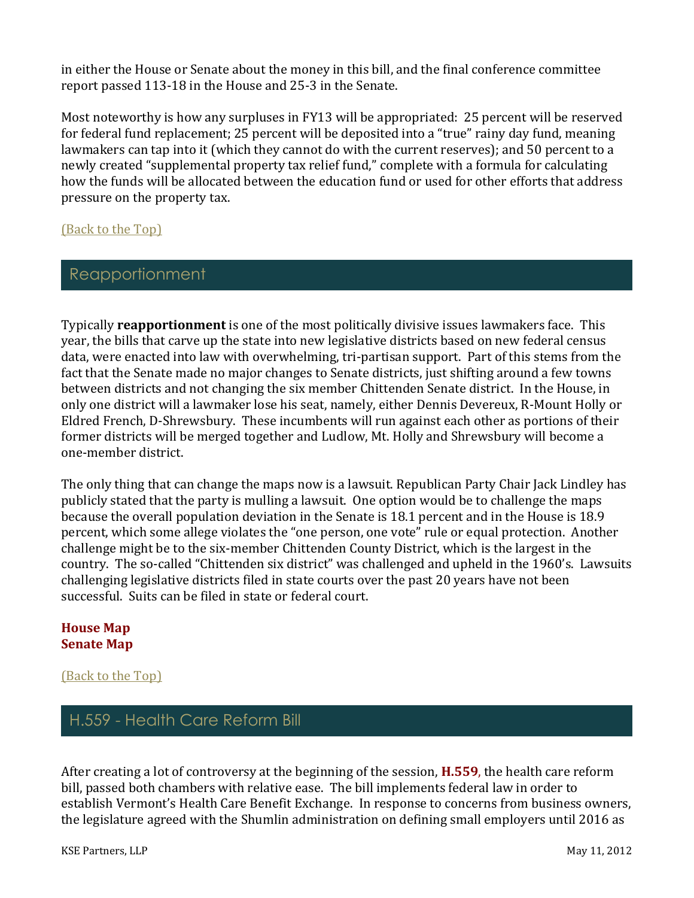in either the House or Senate about the money in this bill, and the final conference committee report passed 113-18 in the House and 25-3 in the Senate.

Most noteworthy is how any surpluses in FY13 will be appropriated: 25 percent will be reserved for federal fund replacement; 25 percent will be deposited into a "true" rainy day fund, meaning lawmakers can tap into it (which they cannot do with the current reserves); and 50 percent to a newly created "supplemental property tax relief fund," complete with a formula for calculating how the funds will be allocated between the education fund or used for other efforts that address pressure on the property tax.

[\(Back to the Top\)](#page-0-1)

## Reapportionment

<span id="page-5-0"></span>Typically **reapportionment** is one of the most politically divisive issues lawmakers face. This year, the bills that carve up the state into new legislative districts based on new federal census data, were enacted into law with overwhelming, tri-partisan support. Part of this stems from the fact that the Senate made no major changes to Senate districts, just shifting around a few towns between districts and not changing the six member Chittenden Senate district. In the House, in only one district will a lawmaker lose his seat, namely, either Dennis Devereux, R-Mount Holly or Eldred French, D-Shrewsbury. These incumbents will run against each other as portions of their former districts will be merged together and Ludlow, Mt. Holly and Shrewsbury will become a one-member district.

The only thing that can change the maps now is a lawsuit. Republican Party Chair Jack Lindley has publicly stated that the party is mulling a lawsuit. One option would be to challenge the maps because the overall population deviation in the Senate is 18.1 percent and in the House is 18.9 percent, which some allege violates the "one person, one vote" rule or equal protection. Another challenge might be to the six-member Chittenden County District, which is the largest in the country. The so-called "Chittenden six district" was challenged and upheld in the 1960's. Lawsuits challenging legislative districts filed in state courts over the past 20 years have not been successful.Suits can be filed in state or federal court.

#### **[House Map](http://www.leg.state.vt.us/Reapportionment/H.789%20As%20Passed%20House%20and%20Senate-House%20Map.pdf) [Senate Map](http://www.leg.state.vt.us/Reapportionment/H.789%20As%20Passed%20House%20and%20Senate-Senate%20Map.pdf)**

[\(Back to the Top\)](#page-0-1)

## H.559 - Health Care Reform Bill

<span id="page-5-1"></span>After creating a lot of controversy at the beginning of the session, **[H.559](http://www.leg.state.vt.us/docs/2012/bills/House/H-559.pdf)**, the health care reform bill, passed both chambers with relative ease. The bill implements federal law in order to establish Vermont's Health Care Benefit Exchange. In response to concerns from business owners, the legislature agreed with the Shumlin administration on defining small employers until 2016 as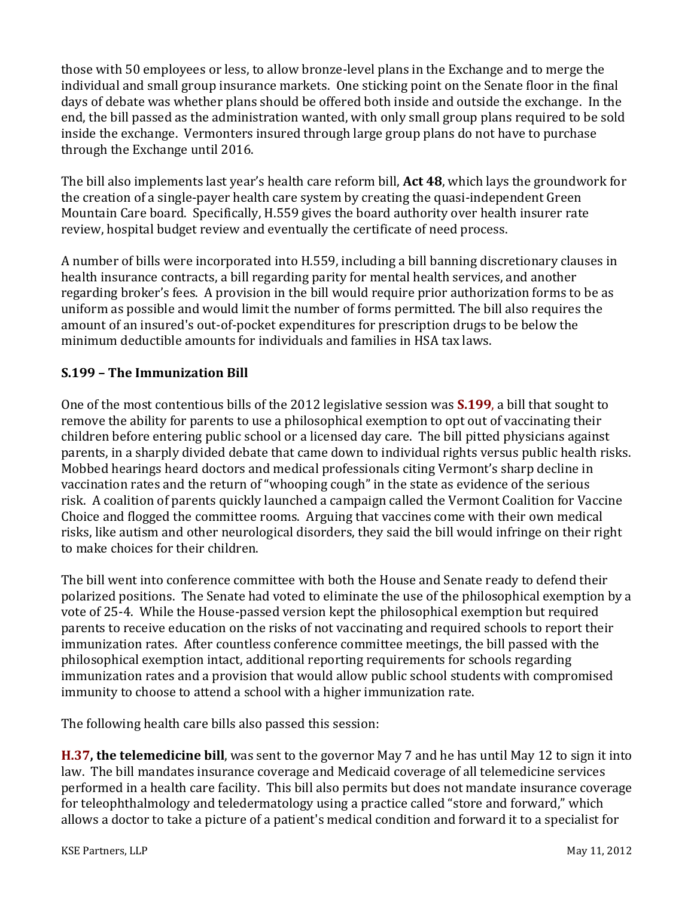those with 50 employees or less, to allow bronze-level plans in the Exchange and to merge the individual and small group insurance markets. One sticking point on the Senate floor in the final days of debate was whether plans should be offered both inside and outside the exchange. In the end, the bill passed as the administration wanted, with only small group plans required to be sold inside the exchange. Vermonters insured through large group plans do not have to purchase through the Exchange until 2016.

The bill also implements last year's health care reform bill, **Act 48**, which lays the groundwork for the creation of a single-payer health care system by creating the quasi-independent Green Mountain Care board. Specifically, H.559 gives the board authority over health insurer rate review, hospital budget review and eventually the certificate of need process.

A number of bills were incorporated into H.559, including a bill banning discretionary clauses in health insurance contracts, a bill regarding parity for mental health services, and another regarding broker's fees. A provision in the bill would require prior authorization forms to be as uniform as possible and would limit the number of forms permitted. The bill also requires the amount of an insured's out-of-pocket expenditures for prescription drugs to be below the minimum deductible amounts for individuals and families in HSA tax laws.

#### **S.199 – The Immunization Bill**

One of the most contentious bills of the 2012 legislative session was **[S.199](http://www.leg.state.vt.us/docs/2012/bills/Passed/S-199.pdf)**, a bill that sought to remove the ability for parents to use a philosophical exemption to opt out of vaccinating their children before entering public school or a licensed day care. The bill pitted physicians against parents, in a sharply divided debate that came down to individual rights versus public health risks. Mobbed hearings heard doctors and medical professionals citing Vermont's sharp decline in vaccination rates and the return of "whooping cough" in the state as evidence of the serious risk. A coalition of parents quickly launched a campaign called the Vermont Coalition for Vaccine Choice and flogged the committee rooms. Arguing that vaccines come with their own medical risks, like autism and other neurological disorders, they said the bill would infringe on their right to make choices for their children.

The bill went into conference committee with both the House and Senate ready to defend their polarized positions. The Senate had voted to eliminate the use of the philosophical exemption by a vote of 25-4. While the House-passed version kept the philosophical exemption but required parents to receive education on the risks of not vaccinating and required schools to report their immunization rates. After countless conference committee meetings, the bill passed with the philosophical exemption intact, additional reporting requirements for schools regarding immunization rates and a provision that would allow public school students with compromised immunity to choose to attend a school with a higher immunization rate.

The following health care bills also passed this session:

**[H.37,](http://www.leg.state.vt.us/docs/2012/bills/House/H-037.pdf) the telemedicine bill**, was sent to the governor May 7 and he has until May 12 to sign it into law. The bill mandates insurance coverage and Medicaid coverage of all telemedicine services performed in a health care facility. This bill also permits but does not mandate insurance coverage for teleophthalmology and teledermatology using a practice called "store and forward," which allows a doctor to take a picture of a patient's medical condition and forward it to a specialist for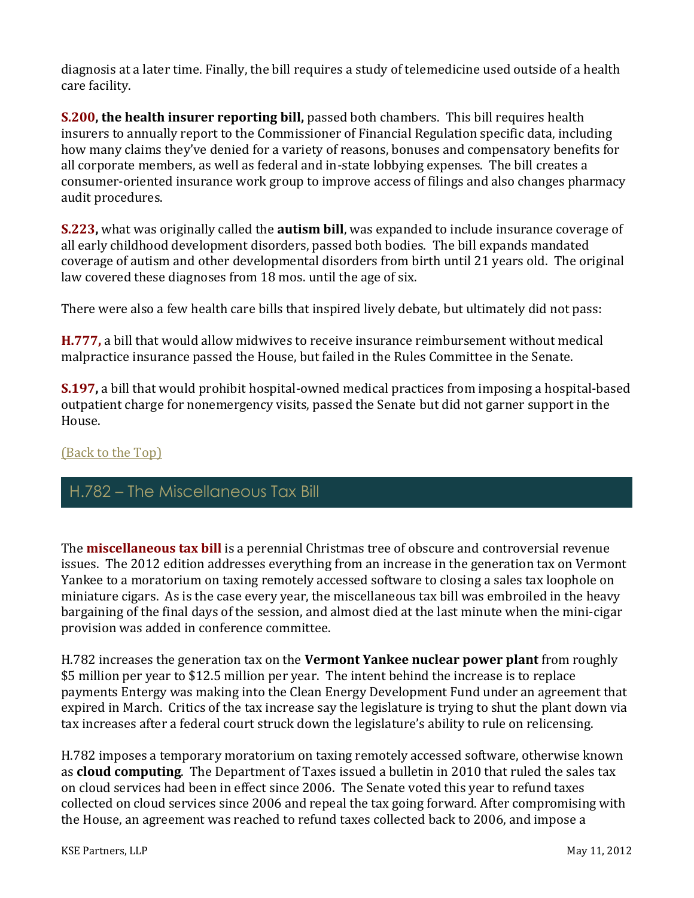diagnosis at a later time. Finally, the bill requires a study of telemedicine used outside of a health care facility.

**[S.200,](http://www.leg.state.vt.us/docs/2012/bills/Passed/S-200.pdf) the health insurer reporting bill,** passed both chambers. This bill requires health insurers to annually report to the Commissioner of Financial Regulation specific data, including how many claims they've denied for a variety of reasons, bonuses and compensatory benefits for all corporate members, as well as federal and in-state lobbying expenses. The bill creates a consumer-oriented insurance work group to improve access of filings and also changes pharmacy audit procedures.

**[S.223,](http://www.leg.state.vt.us/docs/2012/bills/House/S-223.pdf)** what was originally called the **autism bill**, was expanded to include insurance coverage of all early childhood development disorders, passed both bodies. The bill expands mandated coverage of autism and other developmental disorders from birth until 21 years old. The original law covered these diagnoses from 18 mos. until the age of six.

There were also a few health care bills that inspired lively debate, but ultimately did not pass:

**[H.777,](http://www.leg.state.vt.us/docs/2012/bills/House/H-777.pdf)** a bill that would allow midwives to receive insurance reimbursement without medical malpractice insurance passed the House, but failed in the Rules Committee in the Senate.

**[S.197,](http://www.leg.state.vt.us/docs/2012/bills/Senate/S-197.pdf)** a bill that would prohibit hospital-owned medical practices from imposing a hospital-based outpatient charge for nonemergency visits, passed the Senate but did not garner support in the House.

#### [\(Back to the Top\)](#page-0-1)

## H.782 – The Miscellaneous Tax Bill

<span id="page-7-0"></span>The **[miscellaneous tax bill](http://www.leg.state.vt.us/docs/2012/bills/Passed/H-782.pdf)** is a perennial Christmas tree of obscure and controversial revenue issues. The 2012 edition addresses everything from an increase in the generation tax on Vermont Yankee to a moratorium on taxing remotely accessed software to closing a sales tax loophole on miniature cigars. As is the case every year, the miscellaneous tax bill was embroiled in the heavy bargaining of the final days of the session, and almost died at the last minute when the mini-cigar provision was added in conference committee.

H.782 increases the generation tax on the **Vermont Yankee nuclear power plant** from roughly \$5 million per year to \$12.5 million per year. The intent behind the increase is to replace payments Entergy was making into the Clean Energy Development Fund under an agreement that expired in March. Critics of the tax increase say the legislature is trying to shut the plant down via tax increases after a federal court struck down the legislature's ability to rule on relicensing.

H.782 imposes a temporary moratorium on taxing remotely accessed software, otherwise known as **cloud computing**. The Department of Taxes issued a bulletin in 2010 that ruled the sales tax on cloud services had been in effect since 2006. The Senate voted this year to refund taxes collected on cloud services since 2006 and repeal the tax going forward. After compromising with the House, an agreement was reached to refund taxes collected back to 2006, and impose a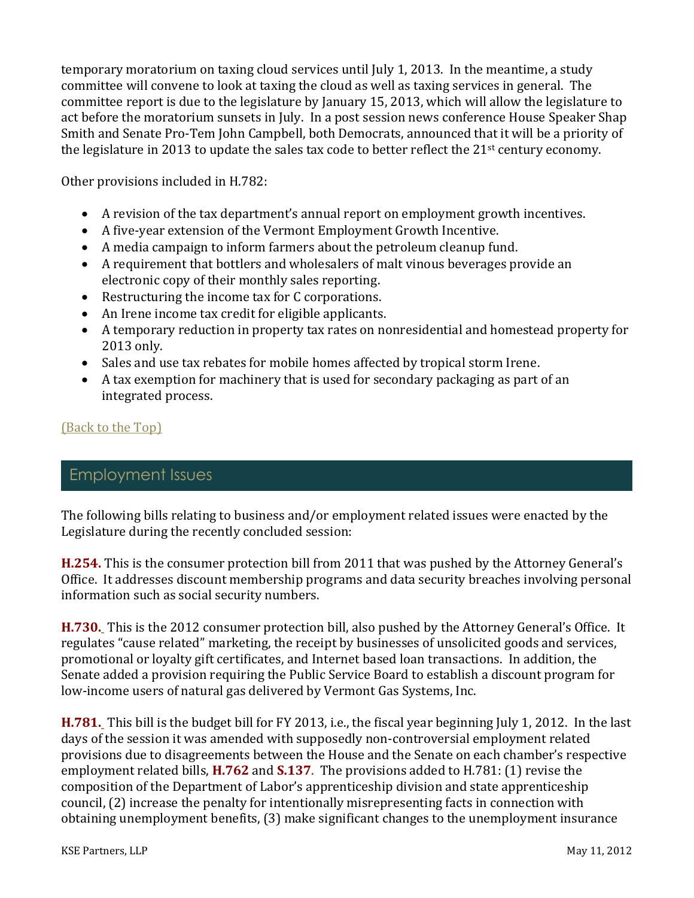temporary moratorium on taxing cloud services until July 1, 2013. In the meantime, a study committee will convene to look at taxing the cloud as well as taxing services in general. The committee report is due to the legislature by January 15, 2013, which will allow the legislature to act before the moratorium sunsets in July. In a post session news conference House Speaker Shap Smith and Senate Pro-Tem John Campbell, both Democrats, announced that it will be a priority of the legislature in 2013 to update the sales tax code to better reflect the 21<sup>st</sup> century economy.

Other provisions included in H.782:

- A revision of the tax department's annual report on employment growth incentives.
- A five-year extension of the Vermont Employment Growth Incentive.
- A media campaign to inform farmers about the petroleum cleanup fund.
- A requirement that bottlers and wholesalers of malt vinous beverages provide an electronic copy of their monthly sales reporting.
- Restructuring the income tax for C corporations.
- An Irene income tax credit for eligible applicants.
- A temporary reduction in property tax rates on nonresidential and homestead property for 2013 only.
- Sales and use tax rebates for mobile homes affected by tropical storm Irene.
- A tax exemption for machinery that is used for secondary packaging as part of an integrated process.

#### [\(Back to the Top\)](#page-0-1)

## Employment Issues

<span id="page-8-0"></span>The following bills relating to business and/or employment related issues were enacted by the Legislature during the recently concluded session:

**[H.254.](http://www.leg.state.vt.us/docs/2012/bills/Passed/H-254.pdf)** This is the consumer protection bill from 2011 that was pushed by the Attorney General's Office. It addresses discount membership programs and data security breaches involving personal information such as social security numbers.

**[H.730.](http://www.leg.state.vt.us/docs/2012/bills/Passed/H-730.pdf)** This is the 2012 consumer protection bill, also pushed by the Attorney General's Office. It regulates "cause related" marketing, the receipt by businesses of unsolicited goods and services, promotional or loyalty gift certificates, and Internet based loan transactions. In addition, the Senate added a provision requiring the Public Service Board to establish a discount program for low-income users of natural gas delivered by Vermont Gas Systems, Inc.

**[H.781.](http://www.leg.state.vt.us/docs/2012/bills/Passed/H-781.pdf)** This bill is the budget bill for FY 2013, i.e., the fiscal year beginning July 1, 2012. In the last days of the session it was amended with supposedly non-controversial employment related provisions due to disagreements between the House and the Senate on each chamber's respective employment related bills, **[H.762](http://www.leg.state.vt.us/docs/2012/bills/House/H-762.pdf)** and **[S.137](http://www.leg.state.vt.us/docs/2012/bills/Intro/S-137.pdf)**. The provisions added to H.781: (1) revise the composition of the Department of Labor's apprenticeship division and state apprenticeship council, (2) increase the penalty for intentionally misrepresenting facts in connection with obtaining unemployment benefits, (3) make significant changes to the unemployment insurance